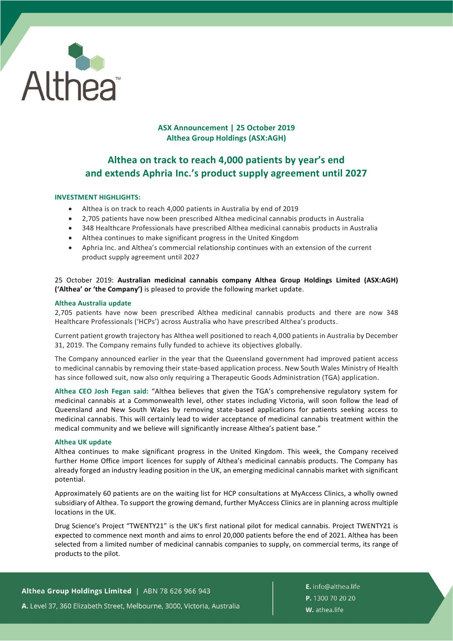

## **ASX Announcement | 25 October 2019 Althea Group Holdings (ASX:AGH)**

# **Althea on track to reach 4,000 patients by year's end and extends Aphria Inc.'s product supply agreement until 2027**

## **INVESTMENT HIGHLIGHTS:**

- Althea is on track to reach 4,000 patients in Australia by end of 2019
- 2,705 patients have now been prescribed Althea medicinal cannabis products in Australia
- 348 Healthcare Professionals have prescribed Althea medicinal cannabis products in Australia
- Althea continues to make significant progress in the United Kingdom
- Aphria Inc. and Althea's commercial relationship continues with an extension of the current product supply agreement until 2027

## 25 October 2019: **Australian medicinal cannabis company Althea Group Holdings Limited (ASX:AGH) ('Althea' or 'the Company')** is pleased to provide the following market update.

## **Althea Australia update**

2,705 patients have now been prescribed Althea medicinal cannabis products and there are now 348 Healthcare Professionals ('HCPs') across Australia who have prescribed Althea's products.

Current patient growth trajectory has Althea well positioned to reach 4,000 patients in Australia by December 31, 2019. The Company remains fully funded to achieve its objectives globally.

The Company announced earlier in the year that the Queensland government had improved patient access to medicinal cannabis by removing their state-based application process. New South Wales Ministry of Health has since followed suit, now also only requiring a Therapeutic Goods Administration (TGA) application.

**Althea CEO Josh Fegan said:** "Althea believes that given the TGA's comprehensive regulatory system for medicinal cannabis at a Commonwealth level, other states including Victoria, will soon follow the lead of Queensland and New South Wales by removing state-based applications for patients seeking access to medicinal cannabis. This will certainly lead to wider acceptance of medicinal cannabis treatment within the medical community and we believe will significantly increase Althea's patient base."

## **Althea UK update**

Althea continues to make significant progress in the United Kingdom. This week, the Company received further Home Office import licences for supply of Althea's medicinal cannabis products. The Company has already forged an industry leading position in the UK, an emerging medicinal cannabis market with significant potential.

Approximately 60 patients are on the waiting list for HCP consultations at MyAccess Clinics, a wholly owned subsidiary of Althea. To support the growing demand, further MyAccess Clinics are in planning across multiple locations in the UK.

Drug Science's Project "TWENTY21" is the UK's first national pilot for medical cannabis. Project TWENTY21 is expected to commence next month and aims to enrol 20,000 patients before the end of 2021. Althea has been selected from a limited number of medicinal cannabis companies to supply, on commercial terms, its range of products to the pilot.

Althea Group Holdings Limited | ABN 78 626 966 943 A. Level 37, 360 Elizabeth Street, Melbourne, 3000, Victoria, Australia

E. info@althea.life P. 1300 70 20 20 W. athea.life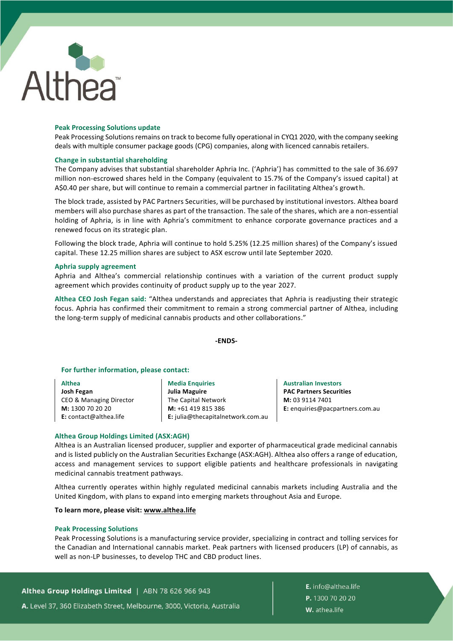

## **Peak Processing Solutions update**

Peak Processing Solutions remains on track to become fully operational in CYQ1 2020, with the company seeking deals with multiple consumer package goods (CPG) companies, along with licenced cannabis retailers.

#### **Change in substantial shareholding**

The Company advises that substantial shareholder Aphria Inc. ('Aphria') has committed to the sale of 36.697 million non-escrowed shares held in the Company (equivalent to 15.7% of the Company's issued capital) at A\$0.40 per share, but will continue to remain a commercial partner in facilitating Althea's growth.

The block trade, assisted by PAC Partners Securities, will be purchased by institutional investors. Althea board members will also purchase shares as part of the transaction. The sale of the shares, which are a non-essential holding of Aphria, is in line with Aphria's commitment to enhance corporate governance practices and a renewed focus on its strategic plan.

Following the block trade, Aphria will continue to hold 5.25% (12.25 million shares) of the Company's issued capital. These 12.25 million shares are subject to ASX escrow until late September 2020.

#### **Aphria supply agreement**

Aphria and Althea's commercial relationship continues with a variation of the current product supply agreement which provides continuity of product supply up to the year 2027.

**Althea CEO Josh Fegan said:** "Althea understands and appreciates that Aphria is readjusting their strategic focus. Aphria has confirmed their commitment to remain a strong commercial partner of Althea, including the long-term supply of medicinal cannabis products and other collaborations."

#### **-ENDS-**

## **For further information, please contact:**

**Althea Josh Fegan**  CEO & Managing Director **M:** 1300 70 20 20 **E:** contact@althea.life

**Media Enquiries Julia Maguire** The Capital Network **M:** +61 419 815 386 **E:** julia@thecapitalnetwork.com.au

**Australian Investors PAC Partners Securities M:** 03 9114 7401 **E:** enquiries@pacpartners.com.au

#### **Althea Group Holdings Limited (ASX:AGH)**

Althea is an Australian licensed producer, supplier and exporter of pharmaceutical grade medicinal cannabis and is listed publicly on the Australian Securities Exchange (ASX:AGH). Althea also offers a range of education, access and management services to support eligible patients and healthcare professionals in navigating medicinal cannabis treatment pathways.

Althea currently operates within highly regulated medicinal cannabis markets including Australia and the United Kingdom, with plans to expand into emerging markets throughout Asia and Europe.

#### **To learn more, please visit: [www.althea.life](http://www.althea.life/)**

#### **Peak Processing Solutions**

Peak Processing Solutions is a manufacturing service provider, specializing in contract and tolling services for the Canadian and International cannabis market. Peak partners with licensed producers (LP) of cannabis, as well as non-LP businesses, to develop THC and CBD product lines.

Althea Group Holdings Limited | ABN 78 626 966 943

A. Level 37, 360 Elizabeth Street, Melbourne, 3000, Victoria, Australia

E. info@althea.life P. 1300 70 20 20 W. athea.life